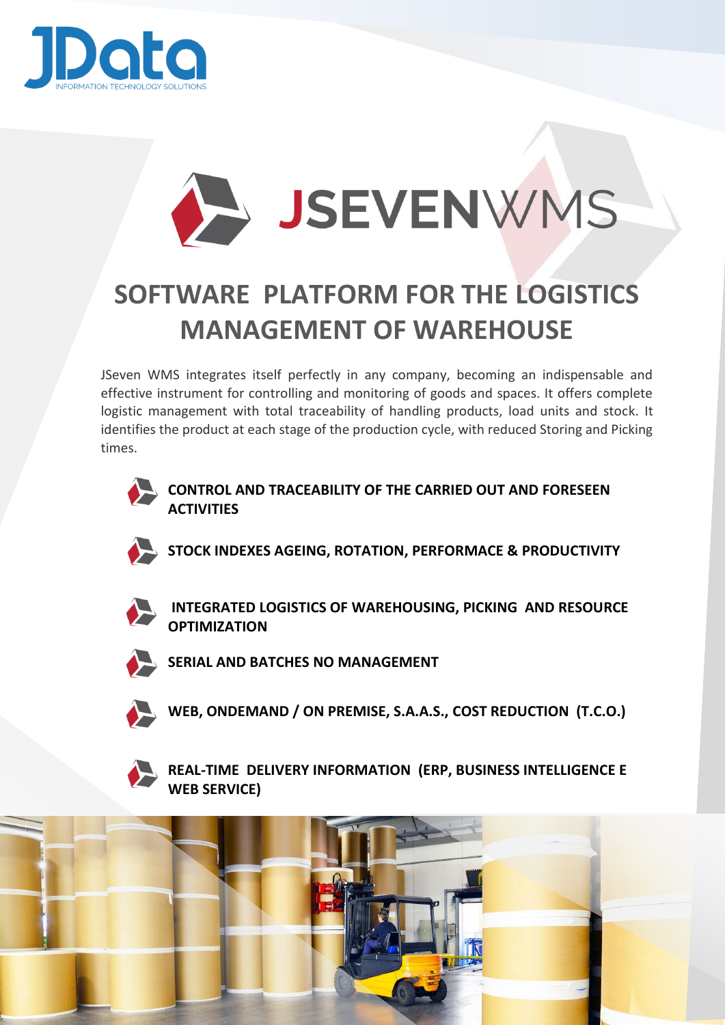



## **SOFTWARE PLATFORM FOR THE LOGISTICS MANAGEMENT OF WAREHOUSE**

JSeven WMS integrates itself perfectly in any company, becoming an indispensable and effective instrument for controlling and monitoring of goods and spaces. It offers complete logistic management with total traceability of handling products, load units and stock. It identifies the product at each stage of the production cycle, with reduced Storing and Picking times.



**CONTROL AND TRACEABILITY OF THE CARRIED OUT AND FORESEEN ACTIVITIES**



**STOCK INDEXES AGEING, ROTATION, PERFORMACE & PRODUCTIVITY** 



**INTEGRATED LOGISTICS OF WAREHOUSING, PICKING AND RESOURCE OPTIMIZATION** 



**SERIAL AND BATCHES NO MANAGEMENT** 



**WEB, ONDEMAND / ON PREMISE, S.A.A.S., COST REDUCTION (T.C.O.)**



 **REAL-TIME DELIVERY INFORMATION (ERP, BUSINESS INTELLIGENCE E WEB SERVICE)**